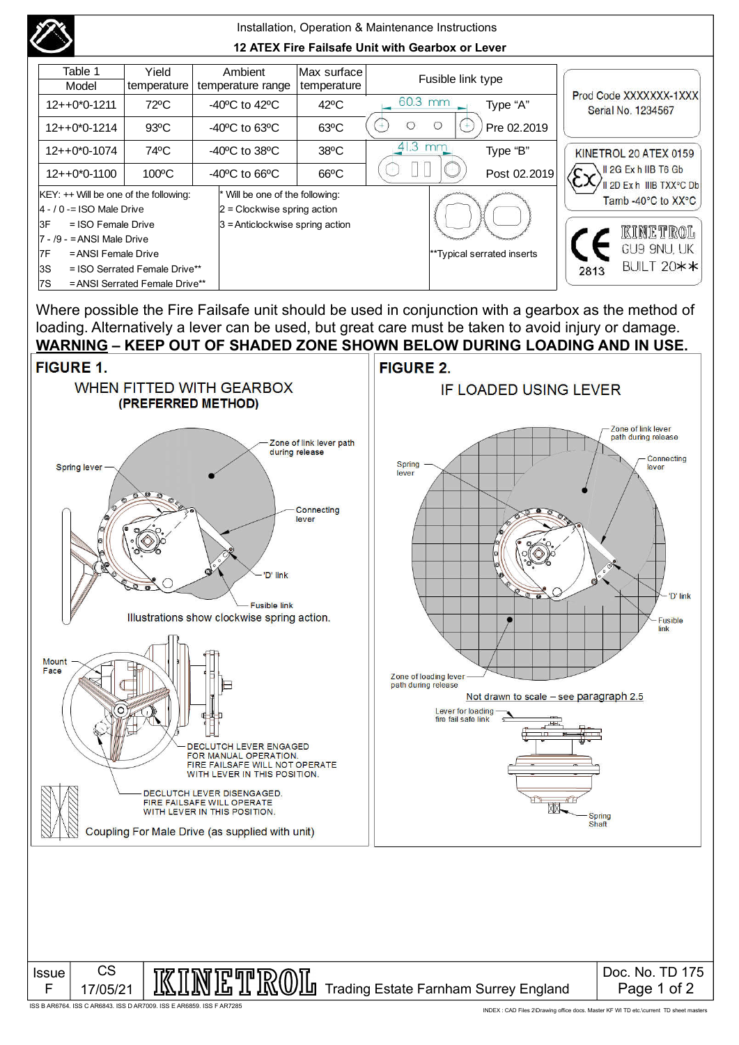|                                                  |                                   |                                | Installation, Operation & Maintenance Instructions |                                    |                            |         |                            |              |                                                  |             |  |
|--------------------------------------------------|-----------------------------------|--------------------------------|----------------------------------------------------|------------------------------------|----------------------------|---------|----------------------------|--------------|--------------------------------------------------|-------------|--|
| 12 ATEX Fire Failsafe Unit with Gearbox or Lever |                                   |                                |                                                    |                                    |                            |         |                            |              |                                                  |             |  |
|                                                  | Table 1<br>Model                  | Yield<br>temperature           |                                                    | Ambient<br>temperature range       | Max surface<br>temperature |         | Fusible link type          |              | Prod Code XXXXXXX-1XXX<br>Serial No. 1234567     |             |  |
|                                                  | $12++0*0-1211$                    | 72°C                           | $-40^{\circ}$ C to $42^{\circ}$ C                  |                                    | $42^{\circ}$ C             | 60.3 mm |                            | Type "A"     |                                                  |             |  |
|                                                  | $12++0*0-1214$                    | $93^{\circ}$ C                 |                                                    | $-40^{\circ}$ C to 63 $^{\circ}$ C | $63^{\circ}$ C             | O       |                            | Pre 02.2019  |                                                  |             |  |
|                                                  | 74°C<br>$12++0*0-1074$            |                                |                                                    | $-40^{\circ}$ C to 38 $^{\circ}$ C | $38^{\circ}$ C             | 41.3 mm |                            | Type "B"     | KINETROL 20 ATEX 0159                            |             |  |
|                                                  | $100^{\circ}$ C<br>$12++0*0-1100$ |                                |                                                    | $-40^{\circ}$ C to 66 $^{\circ}$ C | $66^{\circ}$ C             |         |                            | Post 02.2019 | II 2G Ex h IIB T6 Gb<br>II 2D Ex h IIIB TXX°C Db |             |  |
| $K EY:++$ Will be one of the following:          |                                   |                                |                                                    | * Will be one of the following:    |                            |         |                            |              | Tamb -40°C to XX°C                               |             |  |
| $ 4 - 70  =$ ISO Male Drive                      |                                   |                                |                                                    | $2$ = Clockwise spring action      |                            |         |                            |              |                                                  |             |  |
| 3F<br>$=$ ISO Female Drive                       |                                   |                                | $3$ = Anticlockwise spring action                  |                                    |                            |         |                            |              |                                                  |             |  |
| $7 - 9 -$ = ANSI Male Drive                      |                                   |                                |                                                    |                                    |                            |         |                            |              |                                                  | kinetrol    |  |
| 7F<br>= ANSI Female Drive                        |                                   |                                |                                                    |                                    |                            |         | **Typical serrated inserts |              |                                                  | GU9 9NU, UK |  |
| l3S<br>$=$ ISO Serrated Female Drive**           |                                   |                                |                                                    |                                    |                            |         |                            |              | BUILT 20**<br>2813                               |             |  |
|                                                  | 7S                                | = ANSI Serrated Female Drive** |                                                    |                                    |                            |         |                            |              |                                                  |             |  |

Where possible the Fire Failsafe unit should be used in conjunction with a gearbox as the method of loading. Alternatively a lever can be used, but great care must be taken to avoid injury or damage.



ISS B AR6764. ISS C AR6843. ISS D AR7009. ISS E AR6859. ISS F AR7285

INDEX : CAD Files 2\Drawing office docs. Master KF WI TD etc.\current TD sheet masters